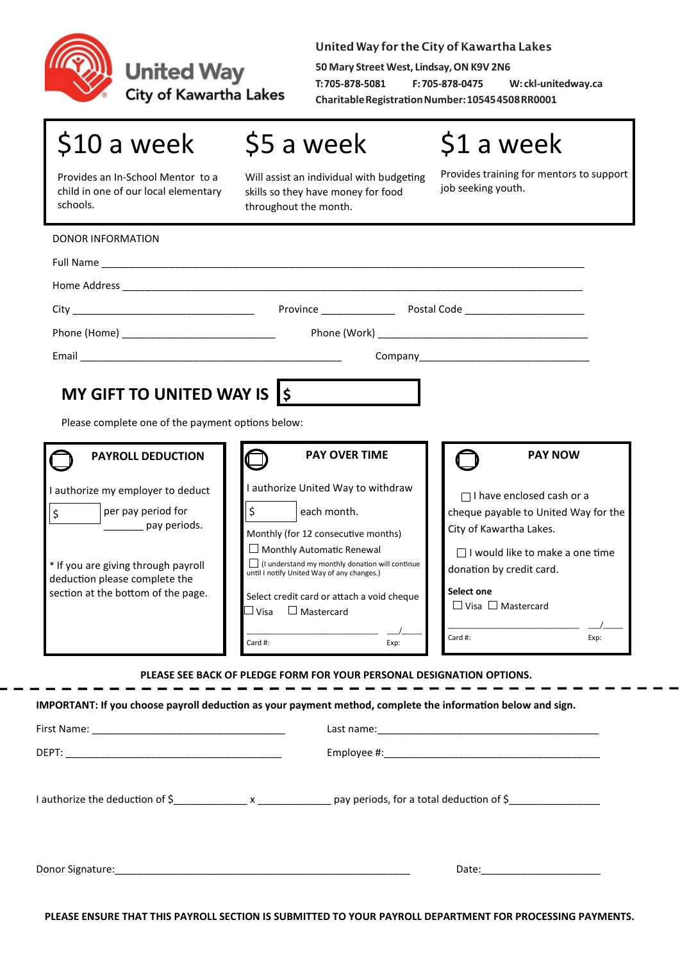

**United Way** 

**City of Kawartha Lakes** 

United Way for the City of Kawartha Lakes

**50 Mary Street West, Lindsay, ON K9V 2N6** T:705-878-5081 F: 705-878-0475 **W: ckl-unitedway.ca Charitable Registration Number: 10545 4508 RR0001**

## \$10 a week

\$5 a week

\$1 a week

Provides an In-School Mentor to a child in one of our local elementary schools.

Will assist an individual with budgeting skills so they have money for food throughout the month.

Provides training for mentors to support job seeking youth.

|                                                                                                                                                                                                  | City Province Province Postal Code                                                                                                                                                                                                                                                                                                           |                                                                                                                                                                                                                                             |
|--------------------------------------------------------------------------------------------------------------------------------------------------------------------------------------------------|----------------------------------------------------------------------------------------------------------------------------------------------------------------------------------------------------------------------------------------------------------------------------------------------------------------------------------------------|---------------------------------------------------------------------------------------------------------------------------------------------------------------------------------------------------------------------------------------------|
|                                                                                                                                                                                                  |                                                                                                                                                                                                                                                                                                                                              |                                                                                                                                                                                                                                             |
|                                                                                                                                                                                                  |                                                                                                                                                                                                                                                                                                                                              |                                                                                                                                                                                                                                             |
| MY GIFT TO UNITED WAY IS S<br>Please complete one of the payment options below:<br><b>PAYROLL DEDUCTION</b>                                                                                      | <b>PAY OVER TIME</b>                                                                                                                                                                                                                                                                                                                         | <b>PAY NOW</b>                                                                                                                                                                                                                              |
| I authorize my employer to deduct<br>$\zeta$<br>per pay period for<br>pay periods.<br>* If you are giving through payroll<br>deduction please complete the<br>section at the bottom of the page. | I authorize United Way to withdraw<br>\$<br>each month.<br>Monthly (for 12 consecutive months)<br>$\Box$ Monthly Automatic Renewal<br>$\Box$ (I understand my monthly donation will continue<br>until I notify United Way of any changes.)<br>Select credit card or attach a void cheque<br>$\Box$ Visa $\Box$ Mastercard<br>Card #:<br>Exp: | $\Box$ I have enclosed cash or a<br>cheque payable to United Way for the<br>City of Kawartha Lakes.<br>$\Box$ I would like to make a one time<br>donation by credit card.<br>Select one<br>$\Box$ Visa $\Box$ Mastercard<br>Card #:<br>Exp: |
|                                                                                                                                                                                                  | PLEASE SEE BACK OF PLEDGE FORM FOR YOUR PERSONAL DESIGNATION OPTIONS.<br>IMPORTANT: If you choose payroll deduction as your payment method, complete the information below and sign.                                                                                                                                                         |                                                                                                                                                                                                                                             |
|                                                                                                                                                                                                  |                                                                                                                                                                                                                                                                                                                                              |                                                                                                                                                                                                                                             |
|                                                                                                                                                                                                  |                                                                                                                                                                                                                                                                                                                                              |                                                                                                                                                                                                                                             |

Donor Signature:\_\_\_\_\_\_\_\_\_\_\_\_\_\_\_\_\_\_\_\_\_\_\_\_\_\_\_\_\_\_\_\_\_\_\_\_\_\_\_\_\_\_\_\_\_\_\_\_\_\_\_\_ Date:\_\_\_\_\_\_\_\_\_\_\_\_\_\_\_\_\_\_\_\_\_

**PLEASE ENSURE THAT THIS PAYROLL SECTION IS SUBMITTED TO YOUR PAYROLL DEPARTMENT FOR PROCESSING PAYMENTS.**